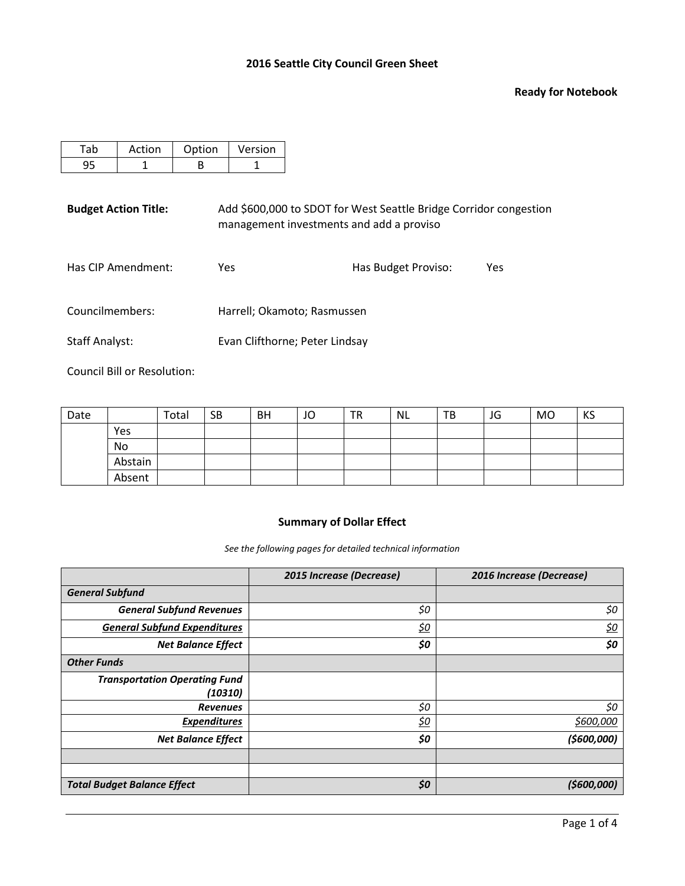#### **Ready for Notebook**

| Action | Option | Version |
|--------|--------|---------|
|        |        |         |

**Budget Action Title:** Add \$600,000 to SDOT for West Seattle Bridge Corridor congestion management investments and add a proviso

| Has CIP Amendment:<br>Has Budget Proviso:<br>Yes | Yes |
|--------------------------------------------------|-----|
|--------------------------------------------------|-----|

Councilmembers: Harrell; Okamoto; Rasmussen

Staff Analyst: Evan Clifthorne; Peter Lindsay

Council Bill or Resolution:

| Date |         | Total | <b>SB</b> | <b>BH</b> | JO | <b>TR</b> | <b>NL</b> | TB | JG | <b>MO</b> | KS |
|------|---------|-------|-----------|-----------|----|-----------|-----------|----|----|-----------|----|
|      | Yes     |       |           |           |    |           |           |    |    |           |    |
|      | No      |       |           |           |    |           |           |    |    |           |    |
|      | Abstain |       |           |           |    |           |           |    |    |           |    |
|      | Absent  |       |           |           |    |           |           |    |    |           |    |

# **Summary of Dollar Effect**

*See the following pages for detailed technical information*

|                                      | 2015 Increase (Decrease) | 2016 Increase (Decrease) |
|--------------------------------------|--------------------------|--------------------------|
| <b>General Subfund</b>               |                          |                          |
| <b>General Subfund Revenues</b>      | \$0                      | \$0                      |
| <b>General Subfund Expenditures</b>  | <u>\$0</u>               | <u>\$0</u>               |
| <b>Net Balance Effect</b>            | \$0                      | \$0                      |
| <b>Other Funds</b>                   |                          |                          |
| <b>Transportation Operating Fund</b> |                          |                          |
| (10310)                              |                          |                          |
| <b>Revenues</b>                      | \$0                      | \$0                      |
| <b>Expenditures</b>                  | <u>\$0</u>               | <u>\$600,000</u>         |
| <b>Net Balance Effect</b>            | \$0                      | (\$600,000)              |
|                                      |                          |                          |
|                                      |                          |                          |
| <b>Total Budget Balance Effect</b>   | \$0                      | (5600,000)               |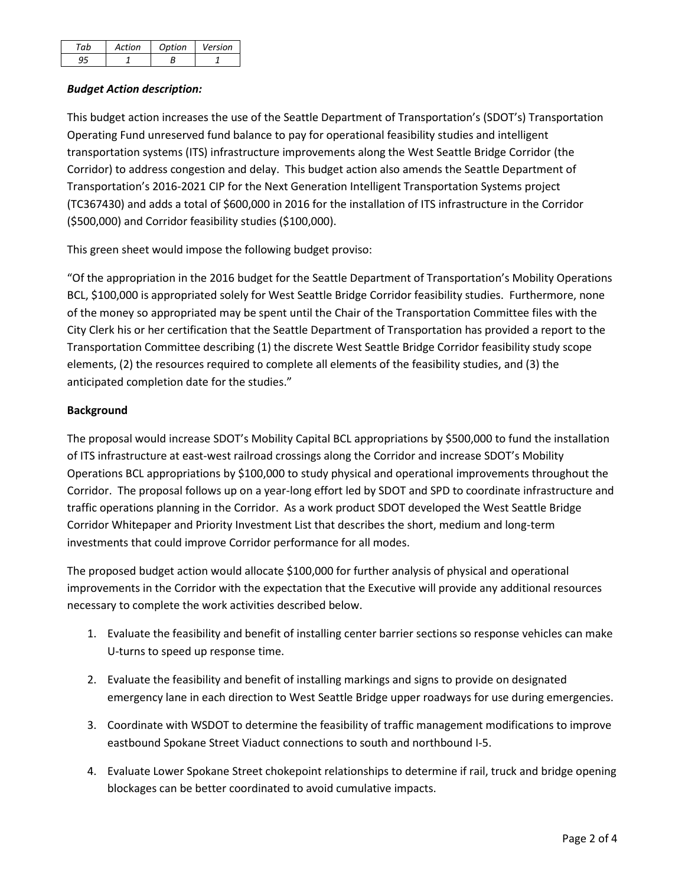| aμ | <b>Action</b> | Ontion | Version |
|----|---------------|--------|---------|
|    |               |        |         |

# *Budget Action description:*

This budget action increases the use of the Seattle Department of Transportation's (SDOT's) Transportation Operating Fund unreserved fund balance to pay for operational feasibility studies and intelligent transportation systems (ITS) infrastructure improvements along the West Seattle Bridge Corridor (the Corridor) to address congestion and delay. This budget action also amends the Seattle Department of Transportation's 2016-2021 CIP for the Next Generation Intelligent Transportation Systems project (TC367430) and adds a total of \$600,000 in 2016 for the installation of ITS infrastructure in the Corridor (\$500,000) and Corridor feasibility studies (\$100,000).

This green sheet would impose the following budget proviso:

"Of the appropriation in the 2016 budget for the Seattle Department of Transportation's Mobility Operations BCL, \$100,000 is appropriated solely for West Seattle Bridge Corridor feasibility studies. Furthermore, none of the money so appropriated may be spent until the Chair of the Transportation Committee files with the City Clerk his or her certification that the Seattle Department of Transportation has provided a report to the Transportation Committee describing (1) the discrete West Seattle Bridge Corridor feasibility study scope elements, (2) the resources required to complete all elements of the feasibility studies, and (3) the anticipated completion date for the studies."

## **Background**

The proposal would increase SDOT's Mobility Capital BCL appropriations by \$500,000 to fund the installation of ITS infrastructure at east-west railroad crossings along the Corridor and increase SDOT's Mobility Operations BCL appropriations by \$100,000 to study physical and operational improvements throughout the Corridor. The proposal follows up on a year-long effort led by SDOT and SPD to coordinate infrastructure and traffic operations planning in the Corridor. As a work product SDOT developed the West Seattle Bridge Corridor Whitepaper and Priority Investment List that describes the short, medium and long-term investments that could improve Corridor performance for all modes.

The proposed budget action would allocate \$100,000 for further analysis of physical and operational improvements in the Corridor with the expectation that the Executive will provide any additional resources necessary to complete the work activities described below.

- 1. Evaluate the feasibility and benefit of installing center barrier sections so response vehicles can make U-turns to speed up response time.
- 2. Evaluate the feasibility and benefit of installing markings and signs to provide on designated emergency lane in each direction to West Seattle Bridge upper roadways for use during emergencies.
- 3. Coordinate with WSDOT to determine the feasibility of traffic management modifications to improve eastbound Spokane Street Viaduct connections to south and northbound I-5.
- 4. Evaluate Lower Spokane Street chokepoint relationships to determine if rail, truck and bridge opening blockages can be better coordinated to avoid cumulative impacts.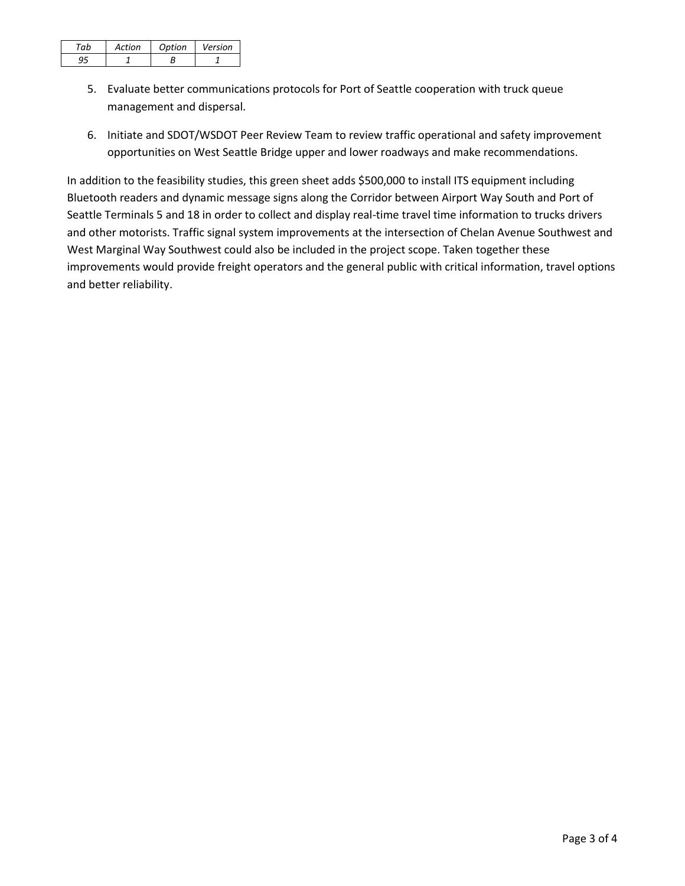| Action | Ontion | Version |
|--------|--------|---------|
|        |        |         |

- 5. Evaluate better communications protocols for Port of Seattle cooperation with truck queue management and dispersal.
- 6. Initiate and SDOT/WSDOT Peer Review Team to review traffic operational and safety improvement opportunities on West Seattle Bridge upper and lower roadways and make recommendations.

In addition to the feasibility studies, this green sheet adds \$500,000 to install ITS equipment including Bluetooth readers and dynamic message signs along the Corridor between Airport Way South and Port of Seattle Terminals 5 and 18 in order to collect and display real-time travel time information to trucks drivers and other motorists. Traffic signal system improvements at the intersection of Chelan Avenue Southwest and West Marginal Way Southwest could also be included in the project scope. Taken together these improvements would provide freight operators and the general public with critical information, travel options and better reliability.